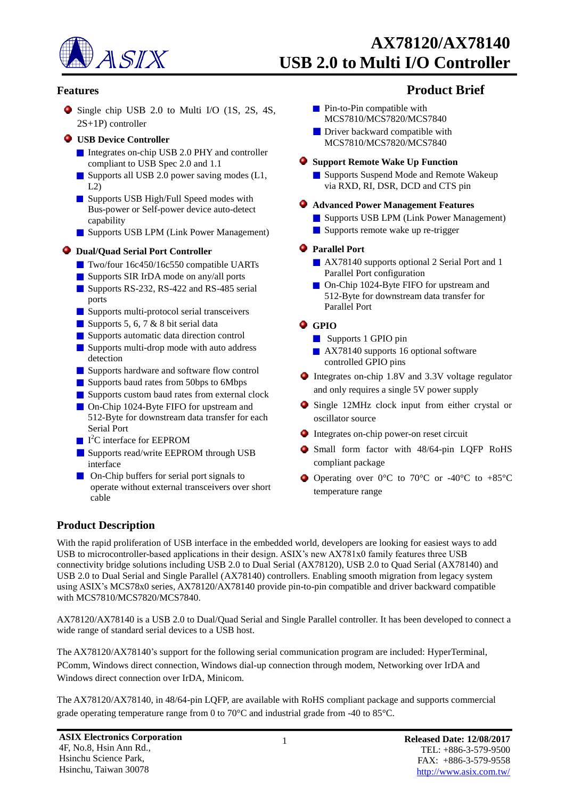

Single chip USB 2.0 to Multi I/O (1S, 2S, 4S, 2S+1P) controller

#### **USB Device Controller**

- Integrates on-chip USB 2.0 PHY and controller compliant to USB Spec 2.0 and 1.1
- Supports all USB 2.0 power saving modes (L1,  $L2$
- Supports USB High/Full Speed modes with Bus-power or Self-power device auto-detect capability
- Supports USB LPM (Link Power Management)

#### **Dual/Quad Serial Port Controller**

- Two/four 16c450/16c550 compatible UARTs
- Supports SIR IrDA mode on any/all ports
- Supports RS-232, RS-422 and RS-485 serial ports
- Supports multi-protocol serial transceivers
- Supports 5, 6, 7  $&$  8 bit serial data
- Supports automatic data direction control
- Supports multi-drop mode with auto address detection
- Supports hardware and software flow control
- Supports baud rates from 50bps to 6Mbps
- Supports custom baud rates from external clock
- On-Chip 1024-Byte FIFO for upstream and 512-Byte for downstream data transfer for each Serial Port
- I <sup>2</sup>C interface for EEPROM
- Supports read/write EEPROM through USB interface
- On-Chip buffers for serial port signals to operate without external transceivers over short cable

# **Features Product Brief**

- **Pin-to-Pin compatible with** MCS7810/MCS7820/MCS7840
- **Driver backward compatible with** MCS7810/MCS7820/MCS7840

#### **Support Remote Wake Up Function**

**Supports Suspend Mode and Remote Wakeup** via RXD, RI, DSR, DCD and CTS pin

#### **Advanced Power Management Features**

- Supports USB LPM (Link Power Management)
- Supports remote wake up re-trigger

#### **Parallel Port**

- AX78140 supports optional 2 Serial Port and 1 Parallel Port configuration
- On-Chip 1024-Byte FIFO for upstream and 512-Byte for downstream data transfer for Parallel Port

### $Q$  GPIO

- Supports 1 GPIO pin
- AX78140 supports 16 optional software controlled GPIO pins
- Integrates on-chip 1.8V and 3.3V voltage regulator and only requires a single 5V power supply
- Single 12MHz clock input from either crystal or oscillator source
- Integrates on-chip power-on reset circuit
- Small form factor with 48/64-pin LQFP RoHS compliant package
- Operating over 0°C to 70°C or -40°C to +85°C temperature range

# **Product Description**

With the rapid proliferation of USB interface in the embedded world, developers are looking for easiest ways to add USB to microcontroller-based applications in their design. ASIX's new AX781x0 family features three USB connectivity bridge solutions including USB 2.0 to Dual Serial (AX78120), USB 2.0 to Quad Serial (AX78140) and USB 2.0 to Dual Serial and Single Parallel (AX78140) controllers. Enabling smooth migration from legacy system using ASIX's MCS78x0 series, AX78120/AX78140 provide pin-to-pin compatible and driver backward compatible with MCS7810/MCS7820/MCS7840.

AX78120/AX78140 is a USB 2.0 to Dual/Quad Serial and Single Parallel controller. It has been developed to connect a wide range of standard serial devices to a USB host.

The AX78120/AX78140's support for the following serial communication program are included: HyperTerminal, PComm, Windows direct connection, Windows dial-up connection through modem, Networking over IrDA and Windows direct connection over IrDA, Minicom.

The AX78120/AX78140, in 48/64-pin LQFP, are available with RoHS compliant package and supports commercial grade operating temperature range from 0 to 70°C and industrial grade from -40 to 85°C.